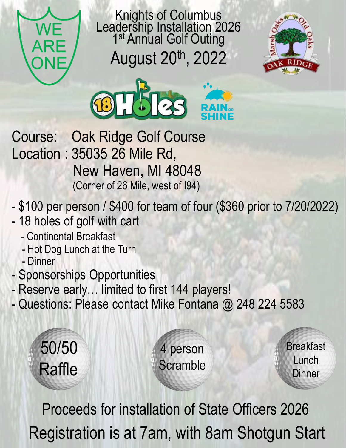

Knights of Columbus Leadership Installation 2026 1<sup>st</sup> Annual Golf Outing August 20th, 2022





- Course: Oak Ridge Golf Course Location : 35035 26 Mile Rd, New Haven, MI 48048 (Corner of 26 Mile, west of I94)
- \$100 per person / \$400 for team of four (\$360 prior to 7/20/2022)
- 18 holes of golf with cart
	- Continental Breakfast
	- Hot Dog Lunch at the Turn
	- Dinner
- Sponsorships Opportunities
- Reserve early… limited to first 144 players!
- Questions: Please contact Mike Fontana @ 248 224 5583



Registration is at 7am, with 8am Shotgun Start Proceeds for installation of State Officers 2026